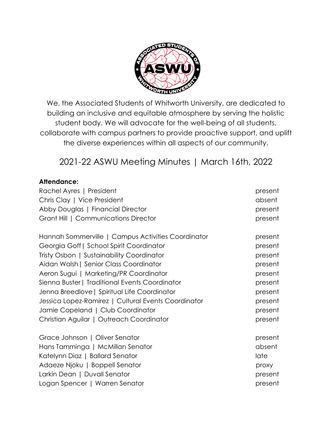

We, the Associated Students of Whitworth University, are dedicated to building an inclusive and equitable atmosphere by serving the holistic student body. We will advocate for the well-being of all students, collaborate with campus partners to provide proactive support, and uplift the diverse experiences within all aspects of our community.

# 2021-22 ASWU Meeting Minutes | March 16th, 2022

## **Attendance:**

| Rachel Ayres   President                            | present |
|-----------------------------------------------------|---------|
| Chris Clay   Vice President                         | absent  |
| Abby Douglas   Financial Director                   | present |
| Grant Hill   Communications Director                | present |
| Hannah Sommerville   Campus Activities Coordinator  | present |
| Georgia Goff   School Spirit Coordinator            | present |
| Tristy Osbon   Sustainability Coordinator           | present |
| Aidan Walsh   Senior Class Coordinator              | present |
| Aeron Sugui   Marketing/PR Coordinator              | present |
| Sienna Buster   Traditional Events Coordinator      | present |
| Jenna Breedlove   Spiritual Life Coordinator        | present |
| Jessica Lopez-Ramirez   Cultural Events Coordinator | present |
| Jamie Copeland   Club Coordinator                   | present |
| Christian Aguilar   Outreach Coordinator            | present |
| Grace Johnson   Oliver Senator                      | present |
| Hans Tamminga   McMillan Senator                    | absent  |
| Katelynn Diaz   Ballard Senator                     | late    |
| Adaeze Njoku   Boppell Senator                      | proxy   |
| Larkin Dean   Duvall Senator                        | present |
| Logan Spencer   Warren Senator                      | present |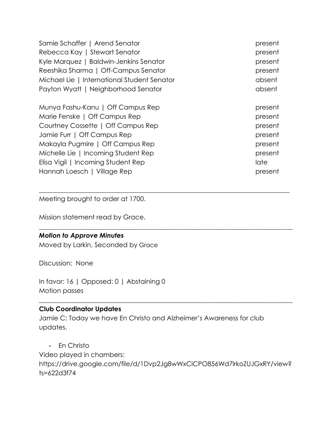| Samie Schaffer   Arend Senator              | present |
|---------------------------------------------|---------|
| Rebecca Kay   Stewart Senator               | present |
| Kyle Marquez   Baldwin-Jenkins Senator      | present |
| Reeshika Sharma   Off-Campus Senator        | present |
| Michael Lie   International Student Senator | absent  |
| Payton Wyatt   Neighborhood Senator         | absent  |
| Munya Fashu-Kanu   Off Campus Rep           | present |
| Marie Fenske   Off Campus Rep               | present |
| Courtney Cossette   Off Campus Rep          | present |
| Jamie Furr   Off Campus Rep                 | present |
| Makayla Pugmire   Off Campus Rep            | present |
| Michelle Lie   Incoming Student Rep         | present |
| Elisa Vigil   Incoming Student Rep          | late    |
| Hannah Loesch   Village Rep                 | present |

 $\_$  , and the set of the set of the set of the set of the set of the set of the set of the set of the set of the set of the set of the set of the set of the set of the set of the set of the set of the set of the set of th

\_\_\_\_\_\_\_\_\_\_\_\_\_\_\_\_\_\_\_\_\_\_\_\_\_\_\_\_\_\_\_\_\_\_\_\_\_\_\_\_\_\_\_\_\_\_\_\_\_\_\_\_\_\_\_\_\_\_\_\_\_\_\_\_\_\_\_\_\_\_\_\_\_\_\_\_\_\_

Meeting brought to order at 1700.

Mission statement read by Grace.

#### *Motion to Approve Minutes*

Moved by Larkin, Seconded by Grace

Discussion: None

In favor: 16 | Opposed: 0 | Abstaining 0 Motion passes

#### **Club Coordinator Updates**

Jamie C: Today we have En Christo and Alzheimer's Awareness for club updates.

- En Christo

Video played in chambers: https://drive.google.com/file/d/1Dvp2Jg8wWxCiCPO856Wd7lrkoZUJGxRY/view? ts=622d3f74

\_\_\_\_\_\_\_\_\_\_\_\_\_\_\_\_\_\_\_\_\_\_\_\_\_\_\_\_\_\_\_\_\_\_\_\_\_\_\_\_\_\_\_\_\_\_\_\_\_\_\_\_\_\_\_\_\_\_\_\_\_\_\_\_\_\_\_\_\_\_\_\_\_\_\_\_\_\_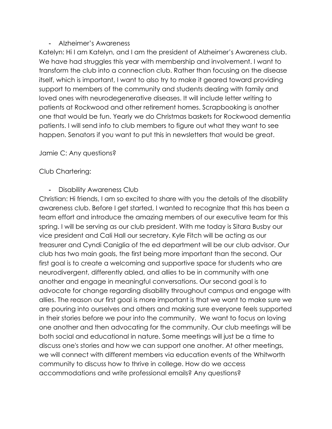## - Alzheimer's Awareness

Katelyn: Hi I am Katelyn, and I am the president of Alzheimer's Awareness club. We have had struggles this year with membership and involvement. I want to transform the club into a connection club. Rather than focusing on the disease itself, which is important, I want to also try to make it geared toward providing support to members of the community and students dealing with family and loved ones with neurodegenerative diseases. It will include letter writing to patients at Rockwood and other retirement homes. Scrapbooking is another one that would be fun. Yearly we do Christmas baskets for Rockwood dementia patients. I will send info to club members to figure out what they want to see happen. Senators if you want to put this in newsletters that would be great.

Jamie C: Any questions?

# Club Chartering:

## - Disability Awareness Club

Christian: Hi friends, I am so excited to share with you the details of the disability awareness club. Before I get started, I wanted to recognize that this has been a team effort and introduce the amazing members of our executive team for this spring. I will be serving as our club president. With me today is Sitara Busby our vice president and Cali Hall our secretary. Kyle Fitch will be acting as our treasurer and Cyndi Caniglia of the ed department will be our club advisor. Our club has two main goals, the first being more important than the second. Our first goal is to create a welcoming and supportive space for students who are neurodivergent, differently abled, and allies to be in community with one another and engage in meaningful conversations. Our second goal is to advocate for change regarding disability throughout campus and engage with allies. The reason our first goal is more important is that we want to make sure we are pouring into ourselves and others and making sure everyone feels supported in their stories before we pour into the community. We want to focus on loving one another and then advocating for the community. Our club meetings will be both social and educational in nature. Some meetings will just be a time to discuss one's stories and how we can support one another. At other meetings, we will connect with different members via education events of the Whitworth community to discuss how to thrive in college. How do we access accommodations and write professional emails? Any questions?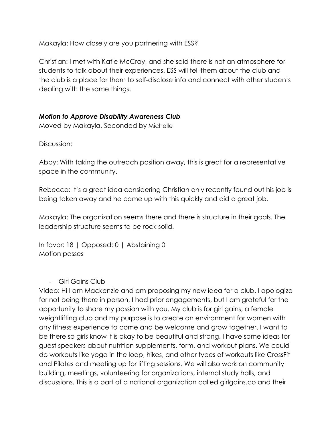Makayla: How closely are you partnering with ESS?

Christian: I met with Katie McCray, and she said there is not an atmosphere for students to talk about their experiences. ESS will tell them about the club and the club is a place for them to self-disclose info and connect with other students dealing with the same things.

## *Motion to Approve Disability Awareness Club*

Moved by Makayla, Seconded by Michelle

Discussion:

Abby: With taking the outreach position away, this is great for a representative space in the community.

Rebecca: It's a great idea considering Christian only recently found out his job is being taken away and he came up with this quickly and did a great job.

Makayla: The organization seems there and there is structure in their goals. The leadership structure seems to be rock solid.

In favor: 18 | Opposed: 0 | Abstaining 0 Motion passes

## - Girl Gains Club

Video: Hi I am Mackenzie and am proposing my new idea for a club. I apologize for not being there in person, I had prior engagements, but I am grateful for the opportunity to share my passion with you. My club is for girl gains, a female weightlifting club and my purpose is to create an environment for women with any fitness experience to come and be welcome and grow together. I want to be there so girls know it is okay to be beautiful and strong. I have some ideas for guest speakers about nutrition supplements, form, and workout plans. We could do workouts like yoga in the loop, hikes, and other types of workouts like CrossFit and Pilates and meeting up for lifting sessions. We will also work on community building, meetings, volunteering for organizations, internal study halls, and discussions. This is a part of a national organization called girlgains.co and their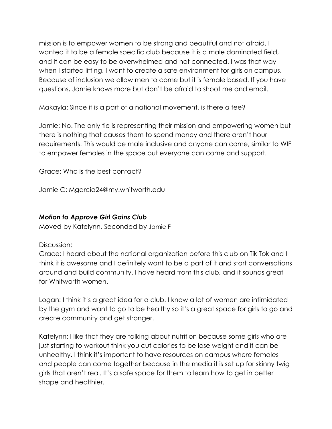mission is to empower women to be strong and beautiful and not afraid. I wanted it to be a female specific club because it is a male dominated field, and it can be easy to be overwhelmed and not connected. I was that way when I started lifting. I want to create a safe environment for girls on campus. Because of inclusion we allow men to come but it is female based. If you have questions, Jamie knows more but don't be afraid to shoot me and email.

Makayla: Since it is a part of a national movement, is there a fee?

Jamie: No. The only tie is representing their mission and empowering women but there is nothing that causes them to spend money and there aren't hour requirements. This would be male inclusive and anyone can come, similar to WIF to empower females in the space but everyone can come and support.

Grace: Who is the best contact?

Jamie C: Mgarcia24@my.whitworth.edu

# *Motion to Approve Girl Gains Club*

Moved by Katelynn, Seconded by Jamie F

# Discussion:

Grace: I heard about the national organization before this club on Tik Tok and I think it is awesome and I definitely want to be a part of it and start conversations around and build community. I have heard from this club, and it sounds great for Whitworth women.

Logan: I think it's a great idea for a club. I know a lot of women are intimidated by the gym and want to go to be healthy so it's a great space for girls to go and create community and get stronger.

Katelynn: I like that they are talking about nutrition because some girls who are just starting to workout think you cut calories to be lose weight and it can be unhealthy. I think it's important to have resources on campus where females and people can come together because in the media it is set up for skinny twig girls that aren't real. It's a safe space for them to learn how to get in better shape and healthier.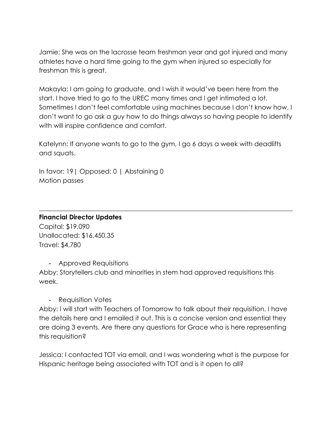Jamie: She was on the lacrosse team freshman year and got injured and many athletes have a hard time going to the gym when injured so especially for freshman this is great.

Makayla: I am going to graduate, and I wish it would've been here from the start. I have tried to go to the UREC many times and I get intimated a lot. Sometimes I don't feel comfortable using machines because I don't know how. I don't want to go ask a guy how to do things always so having people to identify with will inspire confidence and comfort.

Katelynn: If anyone wants to go to the gym, I go 6 days a week with deadlifts and squats.

 $\_$  , and the set of the set of the set of the set of the set of the set of the set of the set of the set of the set of the set of the set of the set of the set of the set of the set of the set of the set of the set of th

In favor: 19| Opposed: 0 | Abstaining 0 Motion passes

#### **Financial Director Updates**

Capital: \$19,090 Unallocated: \$16,450.35 Travel: \$4,780

- Approved Requisitions

Abby: Storytellers club and minorities in stem had approved requisitions this week.

- Requisition Votes

Abby: I will start with Teachers of Tomorrow to talk about their requisition. I have the details here and I emailed it out. This is a concise version and essential they are doing 3 events. Are there any questions for Grace who is here representing this requisition?

Jessica: I contacted TOT via email, and I was wondering what is the purpose for Hispanic heritage being associated with TOT and is it open to all?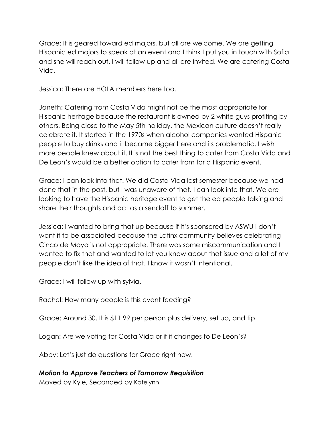Grace: It is geared toward ed majors, but all are welcome. We are getting Hispanic ed majors to speak at an event and I think I put you in touch with Sofia and she will reach out. I will follow up and all are invited. We are catering Costa Vida.

Jessica: There are HOLA members here too.

Janeth: Catering from Costa Vida might not be the most appropriate for Hispanic heritage because the restaurant is owned by 2 white guys profiting by others. Being close to the May 5th holiday, the Mexican culture doesn't really celebrate it. It started in the 1970s when alcohol companies wanted Hispanic people to buy drinks and it became bigger here and its problematic. I wish more people knew about it. It is not the best thing to cater from Costa Vida and De Leon's would be a better option to cater from for a Hispanic event.

Grace: I can look into that. We did Costa Vida last semester because we had done that in the past, but I was unaware of that. I can look into that. We are looking to have the Hispanic heritage event to get the ed people talking and share their thoughts and act as a sendoff to summer.

Jessica: I wanted to bring that up because if it's sponsored by ASWU I don't want it to be associated because the Latinx community believes celebrating Cinco de Mayo is not appropriate. There was some miscommunication and I wanted to fix that and wanted to let you know about that issue and a lot of my people don't like the idea of that. I know it wasn't intentional.

Grace: I will follow up with sylvia.

Rachel: How many people is this event feeding?

Grace: Around 30. It is \$11.99 per person plus delivery, set up, and tip.

Logan: Are we voting for Costa Vida or if it changes to De Leon's?

Abby: Let's just do questions for Grace right now.

# *Motion to Approve Teachers of Tomorrow Requisition*

Moved by Kyle, Seconded by Katelynn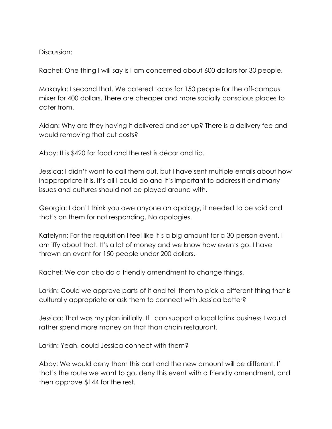#### Discussion:

Rachel: One thing I will say is I am concerned about 600 dollars for 30 people.

Makayla: I second that. We catered tacos for 150 people for the off-campus mixer for 400 dollars. There are cheaper and more socially conscious places to cater from.

Aidan: Why are they having it delivered and set up? There is a delivery fee and would removing that cut costs?

Abby: It is \$420 for food and the rest is décor and tip.

Jessica: I didn't want to call them out, but I have sent multiple emails about how inappropriate it is. It's all I could do and it's important to address it and many issues and cultures should not be played around with.

Georgia: I don't think you owe anyone an apology, it needed to be said and that's on them for not responding. No apologies.

Katelynn: For the requisition I feel like it's a big amount for a 30-person event. I am iffy about that. It's a lot of money and we know how events go. I have thrown an event for 150 people under 200 dollars.

Rachel: We can also do a friendly amendment to change things.

Larkin: Could we approve parts of it and tell them to pick a different thing that is culturally appropriate or ask them to connect with Jessica better?

Jessica: That was my plan initially. If I can support a local latinx business I would rather spend more money on that than chain restaurant.

Larkin: Yeah, could Jessica connect with them?

Abby: We would deny them this part and the new amount will be different. If that's the route we want to go, deny this event with a friendly amendment, and then approve \$144 for the rest.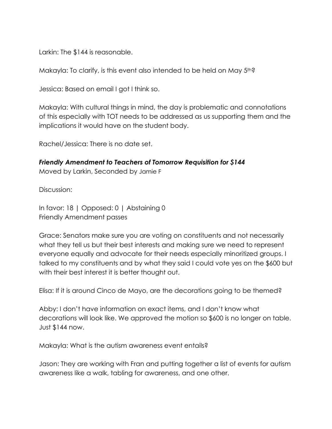Larkin: The \$144 is reasonable.

Makayla: To clarify, is this event also intended to be held on May 5<sup>th?</sup>

Jessica: Based on email I got I think so.

Makayla: With cultural things in mind, the day is problematic and connotations of this especially with TOT needs to be addressed as us supporting them and the implications it would have on the student body.

Rachel/Jessica: There is no date set.

*Friendly Amendment to Teachers of Tomorrow Requisition for \$144*

Moved by Larkin, Seconded by Jamie F

Discussion:

In favor: 18 | Opposed: 0 | Abstaining 0 Friendly Amendment passes

Grace: Senators make sure you are voting on constituents and not necessarily what they tell us but their best interests and making sure we need to represent everyone equally and advocate for their needs especially minoritized groups. I talked to my constituents and by what they said I could vote yes on the \$600 but with their best interest it is better thought out.

Elisa: If it is around Cinco de Mayo, are the decorations going to be themed?

Abby: I don't have information on exact items, and I don't know what decorations will look like. We approved the motion so \$600 is no longer on table. Just \$144 now.

Makayla: What is the autism awareness event entails?

Jason: They are working with Fran and putting together a list of events for autism awareness like a walk, tabling for awareness, and one other.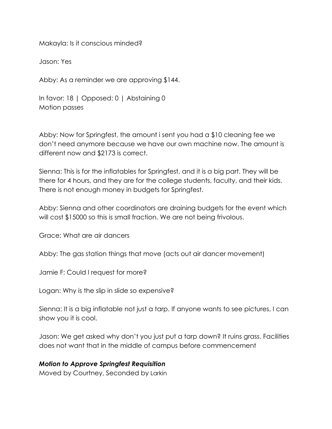Makayla: Is it conscious minded?

Jason: Yes

Abby: As a reminder we are approving \$144.

In favor: 18 | Opposed: 0 | Abstaining 0 Motion passes

Abby: Now for Springfest, the amount i sent you had a \$10 cleaning fee we don't need anymore because we have our own machine now. The amount is different now and \$2173 is correct.

Sienna: This is for the inflatables for Springfest, and it is a big part. They will be there for 4 hours, and they are for the college students, faculty, and their kids. There is not enough money in budgets for Springfest.

Abby: Sienna and other coordinators are draining budgets for the event which will cost \$15000 so this is small fraction. We are not being frivolous.

Grace: What are air dancers

Abby: The gas station things that move (acts out air dancer movement)

Jamie F: Could I request for more?

Logan: Why is the slip in slide so expensive?

Sienna: It is a big inflatable not just a tarp. If anyone wants to see pictures, I can show you it is cool.

Jason: We get asked why don't you just put a tarp down? It ruins grass. Facilities does not want that in the middle of campus before commencement

## *Motion to Approve Springfest Requisition*

Moved by Courtney, Seconded by Larkin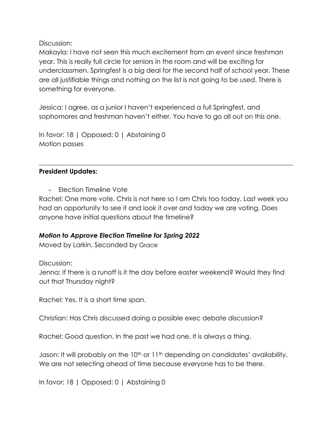Discussion:

Makayla: I have not seen this much excitement from an event since freshman year. This is really full circle for seniors in the room and will be exciting for underclassmen. Springfest is a big deal for the second half of school year. These are all justifiable things and nothing on the list is not going to be used. There is something for everyone.

Jessica: I agree, as a junior I haven't experienced a full Springfest, and sophomores and freshman haven't either. You have to go all out on this one.

In favor: 18 | Opposed: 0 | Abstaining 0 Motion passes

# **President Updates:**

**Election Timeline Vote** 

Rachel: One more vote. Chris is not here so I am Chris too today. Last week you had an opportunity to see it and look it over and today we are voting. Does anyone have initial questions about the timeline?

 $\_$  , and the set of the set of the set of the set of the set of the set of the set of the set of the set of the set of the set of the set of the set of the set of the set of the set of the set of the set of the set of th

# *Motion to Approve Election Timeline for Spring 2022*

Moved by Larkin, Seconded by Grace

## Discussion:

Jenna: If there is a runoff is it the day before easter weekend? Would they find out that Thursday night?

Rachel: Yes. It is a short time span.

Christian: Has Chris discussed doing a possible exec debate discussion?

Rachel: Good question. In the past we had one. It is always a thing.

Jason: It will probably on the 10<sup>th</sup> or 11<sup>th</sup> depending on candidates' availability. We are not selecting ahead of time because everyone has to be there.

In favor: 18 | Opposed: 0 | Abstaining 0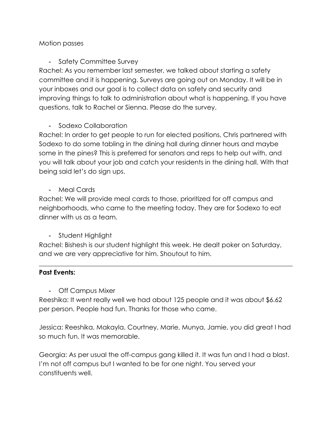## Motion passes

# - Safety Committee Survey

Rachel: As you remember last semester, we talked about starting a safety committee and it is happening. Surveys are going out on Monday. It will be in your inboxes and our goal is to collect data on safety and security and improving things to talk to administration about what is happening. If you have questions, talk to Rachel or Sienna. Please do the survey.

# - Sodexo Collaboration

Rachel: In order to get people to run for elected positions, Chris partnered with Sodexo to do some tabling in the dining hall during dinner hours and maybe some in the pines? This is preferred for senators and reps to help out with, and you will talk about your job and catch your residents in the dining hall. With that being said let's do sign ups.

## - Meal Cards

Rachel: We will provide meal cards to those, prioritized for off campus and neighborhoods, who came to the meeting today. They are for Sodexo to eat dinner with us as a team.

# - Student Highlight

Rachel: Bishesh is our student highlight this week. He dealt poker on Saturday, and we are very appreciative for him. Shoutout to him.

 $\_$  , and the set of the set of the set of the set of the set of the set of the set of the set of the set of the set of the set of the set of the set of the set of the set of the set of the set of the set of the set of th

## **Past Events:**

- Off Campus Mixer

Reeshika: It went really well we had about 125 people and it was about \$6.62 per person. People had fun. Thanks for those who came.

Jessica: Reeshika, Makayla, Courtney, Marie, Munya, Jamie, you did great I had so much fun. It was memorable.

Georgia: As per usual the off-campus gang killed it. It was fun and I had a blast. I'm not off campus but I wanted to be for one night. You served your constituents well.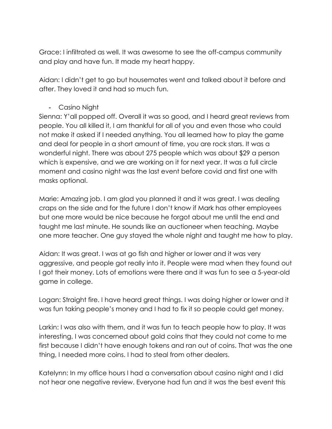Grace: I infiltrated as well. It was awesome to see the off-campus community and play and have fun. It made my heart happy.

Aidan: I didn't get to go but housemates went and talked about it before and after. They loved it and had so much fun.

## - Casino Night

Sienna: Y'all popped off. Overall it was so good, and I heard great reviews from people. You all killed it, I am thankful for all of you and even those who could not make it asked if I needed anything. You all learned how to play the game and deal for people in a short amount of time, you are rock stars. It was a wonderful night. There was about 275 people which was about \$29 a person which is expensive, and we are working on it for next year. It was a full circle moment and casino night was the last event before covid and first one with masks optional.

Marie: Amazing job. I am glad you planned it and it was great. I was dealing craps on the side and for the future I don't know if Mark has other employees but one more would be nice because he forgot about me until the end and taught me last minute. He sounds like an auctioneer when teaching. Maybe one more teacher. One guy stayed the whole night and taught me how to play.

Aidan: It was great. I was at go fish and higher or lower and it was very aggressive, and people got really into it. People were mad when they found out I got their money. Lots of emotions were there and it was fun to see a 5-year-old game in college.

Logan: Straight fire. I have heard great things. I was doing higher or lower and it was fun taking people's money and I had to fix it so people could get money.

Larkin: I was also with them, and it was fun to teach people how to play. It was interesting, I was concerned about gold coins that they could not come to me first because I didn't have enough tokens and ran out of coins. That was the one thing, I needed more coins. I had to steal from other dealers.

Katelynn: In my office hours I had a conversation about casino night and I did not hear one negative review. Everyone had fun and it was the best event this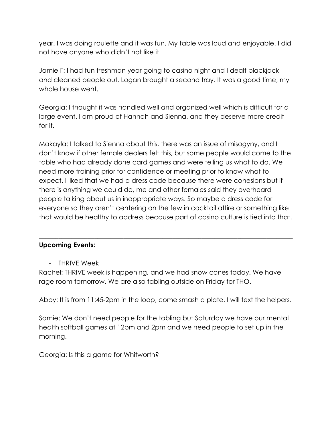year. I was doing roulette and it was fun. My table was loud and enjoyable. I did not have anyone who didn't not like it.

Jamie F: I had fun freshman year going to casino night and I dealt blackjack and cleaned people out. Logan brought a second tray. It was a good time; my whole house went.

Georgia: I thought it was handled well and organized well which is difficult for a large event. I am proud of Hannah and Sienna, and they deserve more credit for it.

Makayla: I talked to Sienna about this, there was an issue of misogyny, and I don't know if other female dealers felt this, but some people would come to the table who had already done card games and were telling us what to do. We need more training prior for confidence or meeting prior to know what to expect. I liked that we had a dress code because there were cohesions but if there is anything we could do, me and other females said they overheard people talking about us in inappropriate ways. So maybe a dress code for everyone so they aren't centering on the few in cocktail attire or something like that would be healthy to address because part of casino culture is tied into that.

 $\_$  , and the set of the set of the set of the set of the set of the set of the set of the set of the set of the set of the set of the set of the set of the set of the set of the set of the set of the set of the set of th

# **Upcoming Events:**

- THRIVE Week

Rachel: THRIVE week is happening, and we had snow cones today. We have rage room tomorrow. We are also tabling outside on Friday for THO.

Abby: It is from 11:45-2pm in the loop, come smash a plate. I will text the helpers.

Samie: We don't need people for the tabling but Saturday we have our mental health softball games at 12pm and 2pm and we need people to set up in the morning.

Georgia: Is this a game for Whitworth?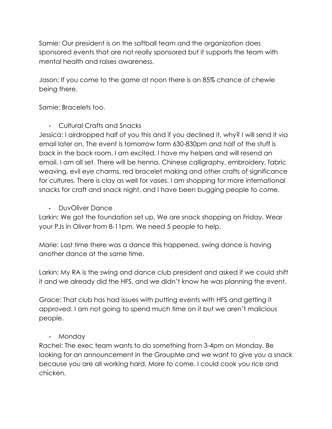Samie: Our president is on the softball team and the organization does sponsored events that are not really sponsored but it supports the team with mental health and raises awareness.

Jason: If you come to the game at noon there is an 85% chance of chewie being there.

Samie: Bracelets too.

- Cultural Crafts and Snacks

Jessica: I airdropped half of you this and if you declined it, why? I will send it via email later on. The event is tomorrow form 630-830pm and half of the stuff is back in the back room. I am excited. I have my helpers and will resend an email. I am all set. There will be henna, Chinese calligraphy, embroidery, fabric weaving, evil eye charms, red bracelet making and other crafts of significance for cultures. There is clay as well for vases. I am shopping for more international snacks for craft and snack night, and I have been bugging people to come.

- DuvOliver Dance

Larkin: We got the foundation set up. We are snack shopping on Friday. Wear your PJs in Oliver from 8-11pm. We need 5 people to help.

Marie: Last time there was a dance this happened, swing dance is having another dance at the same time.

Larkin: My RA is the swing and dance club president and asked if we could shift it and we already did the HFS, and we didn't know he was planning the event.

Grace: That club has had issues with putting events with HFS and getting it approved. I am not going to spend much time on it but we aren't malicious people.

- Monday

Rachel: The exec team wants to do something from 3-4pm on Monday. Be looking for an announcement in the GroupMe and we want to give you a snack because you are all working hard. More to come. I could cook you rice and chicken.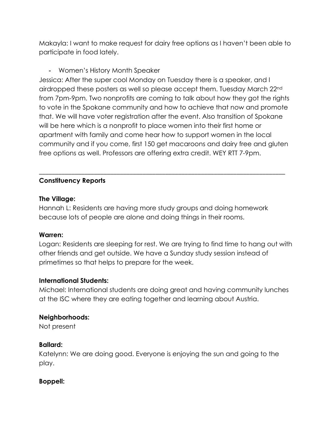Makayla: I want to make request for dairy free options as I haven't been able to participate in food lately.

- Women's History Month Speaker

Jessica: After the super cool Monday on Tuesday there is a speaker, and I airdropped these posters as well so please accept them. Tuesday March 22nd from 7pm-9pm. Two nonprofits are coming to talk about how they got the rights to vote in the Spokane community and how to achieve that now and promote that. We will have voter registration after the event. Also transition of Spokane will be here which is a nonprofit to place women into their first home or apartment with family and come hear how to support women in the local community and if you come, first 150 get macaroons and dairy free and gluten free options as well. Professors are offering extra credit. WEY RTT 7-9pm.

\_\_\_\_\_\_\_\_\_\_\_\_\_\_\_\_\_\_\_\_\_\_\_\_\_\_\_\_\_\_\_\_\_\_\_\_\_\_\_\_\_\_\_\_\_\_\_\_\_\_\_\_\_\_\_\_\_\_\_\_\_\_\_\_\_\_\_\_\_\_\_\_\_\_\_\_

## **Constituency Reports**

## **The Village:**

Hannah L: Residents are having more study groups and doing homework because lots of people are alone and doing things in their rooms.

## **Warren:**

Logan: Residents are sleeping for rest. We are trying to find time to hang out with other friends and get outside. We have a Sunday study session instead of primetimes so that helps to prepare for the week.

## **International Students:**

Michael: International students are doing great and having community lunches at the ISC where they are eating together and learning about Austria.

# **Neighborhoods:**

Not present

## **Ballard:**

Katelynn: We are doing good. Everyone is enjoying the sun and going to the play.

# **Boppell:**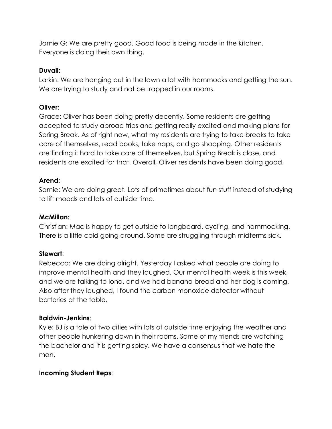Jamie G: We are pretty good. Good food is being made in the kitchen. Everyone is doing their own thing.

## **Duvall:**

Larkin: We are hanging out in the lawn a lot with hammocks and getting the sun. We are trying to study and not be trapped in our rooms.

## **Oliver:**

Grace: Oliver has been doing pretty decently. Some residents are getting accepted to study abroad trips and getting really excited and making plans for Spring Break. As of right now, what my residents are trying to take breaks to take care of themselves, read books, take naps, and go shopping. Other residents are finding it hard to take care of themselves, but Spring Break is close, and residents are excited for that. Overall, Oliver residents have been doing good.

# **Arend**:

Samie: We are doing great. Lots of primetimes about fun stuff instead of studying to lift moods and lots of outside time.

## **McMillan:**

Christian: Mac is happy to get outside to longboard, cycling, and hammocking. There is a little cold going around. Some are struggling through midterms sick.

# **Stewart**:

Rebecca: We are doing alright. Yesterday I asked what people are doing to improve mental health and they laughed. Our mental health week is this week, and we are talking to Iona, and we had banana bread and her dog is coming. Also after they laughed, I found the carbon monoxide detector without batteries at the table.

## **Baldwin-Jenkins**:

Kyle: BJ is a tale of two cities with lots of outside time enjoying the weather and other people hunkering down in their rooms. Some of my friends are watching the bachelor and it is getting spicy. We have a consensus that we hate the man.

# **Incoming Student Reps**: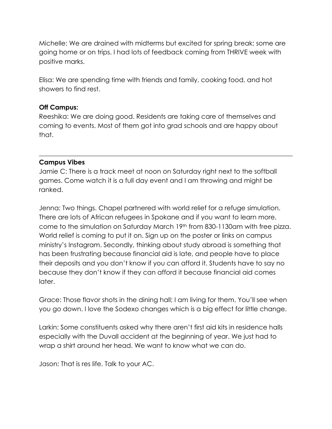Michelle: We are drained with midterms but excited for spring break; some are going home or on trips. I had lots of feedback coming from THRIVE week with positive marks.

Elisa: We are spending time with friends and family, cooking food, and hot showers to find rest.

## **Off Campus:**

Reeshika: We are doing good. Residents are taking care of themselves and coming to events. Most of them got into grad schools and are happy about that.

\_\_\_\_\_\_\_\_\_\_\_\_\_\_\_\_\_\_\_\_\_\_\_\_\_\_\_\_\_\_\_\_\_\_\_\_\_\_\_\_\_\_\_\_\_\_\_\_\_\_\_\_\_\_\_\_\_\_\_\_\_\_\_\_\_\_\_\_\_\_\_\_\_\_\_\_\_\_

# **Campus Vibes**

Jamie C: There is a track meet at noon on Saturday right next to the softball games. Come watch it is a full day event and I am throwing and might be ranked.

Jenna: Two things. Chapel partnered with world relief for a refuge simulation. There are lots of African refugees in Spokane and if you want to learn more, come to the simulation on Saturday March 19th from 830-1130am with free pizza. World relief is coming to put it on. Sign up on the poster or links on campus ministry's Instagram. Secondly, thinking about study abroad is something that has been frustrating because financial aid is late, and people have to place their deposits and you don't know if you can afford it. Students have to say no because they don't know if they can afford it because financial aid comes later.

Grace: Those flavor shots in the dining hall; I am living for them. You'll see when you go down. I love the Sodexo changes which is a big effect for little change.

Larkin: Some constituents asked why there aren't first aid kits in residence halls especially with the Duvall accident at the beginning of year. We just had to wrap a shirt around her head. We want to know what we can do.

Jason: That is res life. Talk to your AC.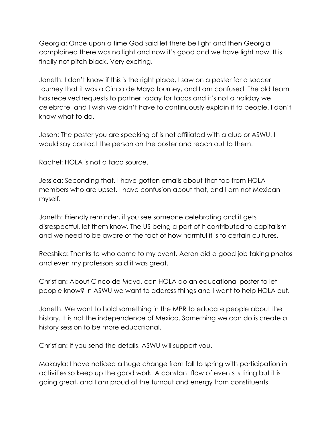Georgia: Once upon a time God said let there be light and then Georgia complained there was no light and now it's good and we have light now. It is finally not pitch black. Very exciting.

Janeth: I don't know if this is the right place, I saw on a poster for a soccer tourney that it was a Cinco de Mayo tourney, and I am confused. The old team has received requests to partner today for tacos and it's not a holiday we celebrate, and I wish we didn't have to continuously explain it to people. I don't know what to do.

Jason: The poster you are speaking of is not affiliated with a club or ASWU. I would say contact the person on the poster and reach out to them.

Rachel: HOLA is not a taco source.

Jessica: Seconding that. I have gotten emails about that too from HOLA members who are upset. I have confusion about that, and I am not Mexican myself.

Janeth: Friendly reminder, if you see someone celebrating and it gets disrespectful, let them know. The US being a part of it contributed to capitalism and we need to be aware of the fact of how harmful it is to certain cultures.

Reeshika: Thanks to who came to my event. Aeron did a good job taking photos and even my professors said it was great.

Christian: About Cinco de Mayo, can HOLA do an educational poster to let people know? In ASWU we want to address things and I want to help HOLA out.

Janeth: We want to hold something in the MPR to educate people about the history. It is not the independence of Mexico. Something we can do is create a history session to be more educational.

Christian: If you send the details, ASWU will support you.

Makayla: I have noticed a huge change from fall to spring with participation in activities so keep up the good work. A constant flow of events is tiring but it is going great, and I am proud of the turnout and energy from constituents.